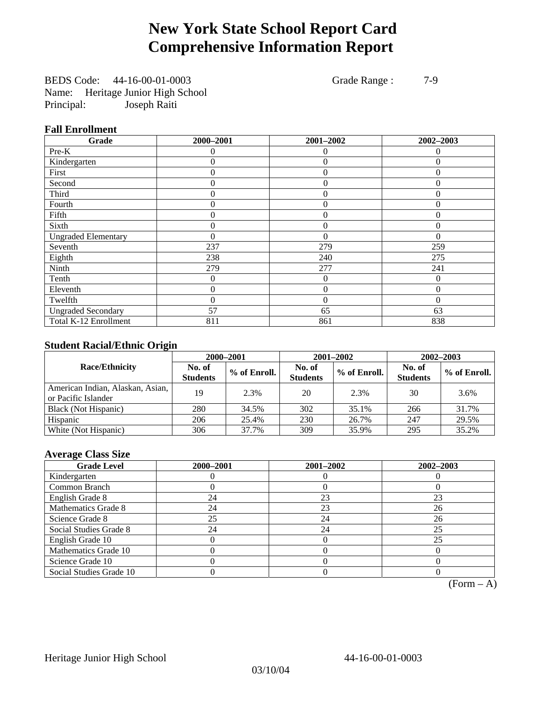## **New York State School Report Card Comprehensive Information Report**

BEDS Code: 44-16-00-01-0003 Grade Range : 7-9 Name: Heritage Junior High School Principal: Joseph Raiti

## **Fall Enrollment**

| Grade                      | 2000-2001 | 2001-2002        | 2002-2003    |
|----------------------------|-----------|------------------|--------------|
| Pre-K                      | $\Omega$  | $\theta$         | $\Omega$     |
| Kindergarten               | $\theta$  | $\overline{0}$   | $\Omega$     |
| First                      | 0         | $\theta$         | $\Omega$     |
| Second                     | 0         | $\theta$         | $\Omega$     |
| Third                      | 0         | $\theta$         | 0            |
| Fourth                     | 0         | $\overline{0}$   | $\Omega$     |
| Fifth                      | 0         | $\theta$         | $\Omega$     |
| Sixth                      | 0         | $\Omega$         | $\Omega$     |
| <b>Ungraded Elementary</b> | 0         | $\Omega$         | $\Omega$     |
| Seventh                    | 237       | 279              | 259          |
| Eighth                     | 238       | 240              | 275          |
| Ninth                      | 279       | 277              | 241          |
| Tenth                      | 0         | $\boldsymbol{0}$ | 0            |
| Eleventh                   | 0         | $\overline{0}$   | 0            |
| Twelfth                    | 0         | $\overline{0}$   | $\mathbf{0}$ |
| <b>Ungraded Secondary</b>  | 57        | 65               | 63           |
| Total K-12 Enrollment      | 811       | 861              | 838          |

## **Student Racial/Ethnic Origin**

|                                                         |                           | 2000-2001    | 2001-2002<br>$2002 - 2003$ |              |                           |                |
|---------------------------------------------------------|---------------------------|--------------|----------------------------|--------------|---------------------------|----------------|
| <b>Race/Ethnicity</b>                                   | No. of<br><b>Students</b> | % of Enroll. | No. of<br><b>Students</b>  | % of Enroll. | No. of<br><b>Students</b> | $%$ of Enroll. |
| American Indian, Alaskan, Asian,<br>or Pacific Islander | 19                        | 2.3%         | 20                         | 2.3%         | 30                        | 3.6%           |
| Black (Not Hispanic)                                    | 280                       | 34.5%        | 302                        | 35.1%        | 266                       | 31.7%          |
| Hispanic                                                | 206                       | 25.4%        | 230                        | 26.7%        | 247                       | 29.5%          |
| White (Not Hispanic)                                    | 306                       | 37.7%        | 309                        | 35.9%        | 295                       | 35.2%          |

## **Average Class Size**

| <b>Grade Level</b>      | 2000-2001 | 2001-2002 | 2002-2003 |
|-------------------------|-----------|-----------|-----------|
| Kindergarten            |           |           |           |
| Common Branch           |           |           |           |
| English Grade 8         | 24        | 23        | 23        |
| Mathematics Grade 8     | 24        | 23        | 26        |
| Science Grade 8         | 25        | 24        | 26        |
| Social Studies Grade 8  | 24        | 24        | 25        |
| English Grade 10        |           |           | 25        |
| Mathematics Grade 10    |           |           |           |
| Science Grade 10        |           |           |           |
| Social Studies Grade 10 |           |           |           |

 $(Form – A)$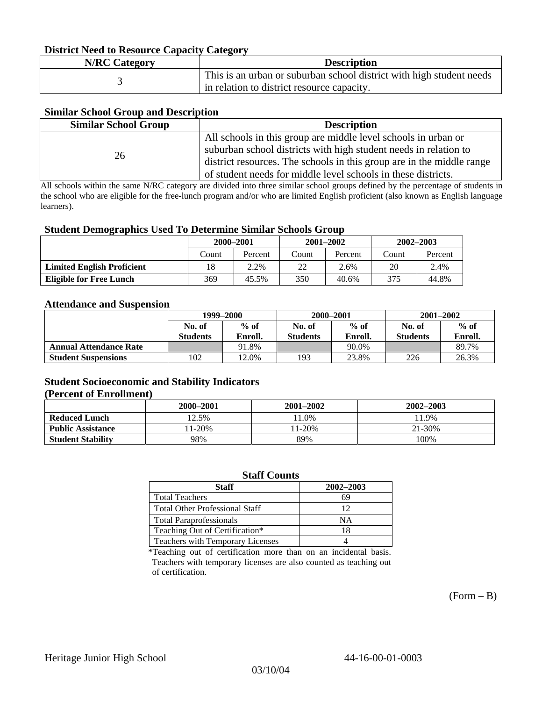### **District Need to Resource Capacity Category**

| <b>N/RC Category</b> | <b>Description</b>                                                   |
|----------------------|----------------------------------------------------------------------|
|                      | This is an urban or suburban school district with high student needs |
|                      | in relation to district resource capacity.                           |

## **Similar School Group and Description**

| <b>Similar School Group</b> | <b>Description</b>                                                    |
|-----------------------------|-----------------------------------------------------------------------|
|                             | All schools in this group are middle level schools in urban or        |
| 26                          | suburban school districts with high student needs in relation to      |
|                             | district resources. The schools in this group are in the middle range |
|                             | of student needs for middle level schools in these districts.         |

All schools within the same N/RC category are divided into three similar school groups defined by the percentage of students in the school who are eligible for the free-lunch program and/or who are limited English proficient (also known as English language learners).

### **Student Demographics Used To Determine Similar Schools Group**

| . .                               | 2000-2001 |         | $2001 - 2002$ |         | $2002 - 2003$ |         |
|-----------------------------------|-----------|---------|---------------|---------|---------------|---------|
|                                   | Count     | Percent | Count         | Percent | Count         | Percent |
| <b>Limited English Proficient</b> | 18        | 2.2%    | 22            | 2.6%    | 20            | 2.4%    |
| <b>Eligible for Free Lunch</b>    | 369       | 45.5%   | 350           | 40.6%   | 375           | 44.8%   |

### **Attendance and Suspension**

|                               | 1999–2000       |         | 2000-2001       |         | $2001 - 2002$   |         |
|-------------------------------|-----------------|---------|-----------------|---------|-----------------|---------|
|                               | No. of          | $%$ of  | No. of          | $%$ of  | No. of          | $%$ of  |
|                               | <b>Students</b> | Enroll. | <b>Students</b> | Enroll. | <b>Students</b> | Enroll. |
| <b>Annual Attendance Rate</b> |                 | 91.8%   |                 | 90.0%   |                 | 89.7%   |
| <b>Student Suspensions</b>    | 102             | 12.0%   | 193             | 23.8%   | 226             | 26.3%   |

### **Student Socioeconomic and Stability Indicators (Percent of Enrollment)**

|                          | 2000–2001 | 2001-2002 | 2002-2003 |
|--------------------------|-----------|-----------|-----------|
| <b>Reduced Lunch</b>     | 12.5%     | $1.0\%$   | 1.9%      |
| <b>Public Assistance</b> | $1-20%$   | $1-20%$   | 21-30%    |
| <b>Student Stability</b> | 98%       | 89%       | 100%      |

### **Staff Counts**

| <b>Staff</b>                          | 2002-2003 |
|---------------------------------------|-----------|
| <b>Total Teachers</b>                 | 69        |
| <b>Total Other Professional Staff</b> | 12        |
| <b>Total Paraprofessionals</b>        | NΑ        |
| Teaching Out of Certification*        | 18        |
| Teachers with Temporary Licenses      |           |

\*Teaching out of certification more than on an incidental basis. Teachers with temporary licenses are also counted as teaching out of certification.

 $(Form - B)$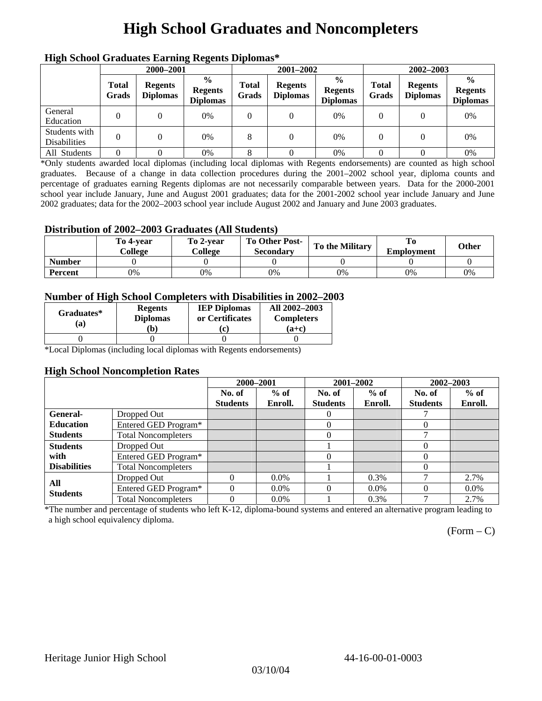## **High School Graduates and Noncompleters**

| mgn benoor Grauuates Larming Regents Diplomas |                       |                                   |                                                    |                       |                                   |                                                    |                       |                                   |                                                    |  |
|-----------------------------------------------|-----------------------|-----------------------------------|----------------------------------------------------|-----------------------|-----------------------------------|----------------------------------------------------|-----------------------|-----------------------------------|----------------------------------------------------|--|
|                                               | 2000-2001             |                                   |                                                    |                       | 2001-2002                         |                                                    |                       | 2002-2003                         |                                                    |  |
|                                               | <b>Total</b><br>Grads | <b>Regents</b><br><b>Diplomas</b> | $\frac{0}{0}$<br><b>Regents</b><br><b>Diplomas</b> | <b>Total</b><br>Grads | <b>Regents</b><br><b>Diplomas</b> | $\frac{0}{0}$<br><b>Regents</b><br><b>Diplomas</b> | <b>Total</b><br>Grads | <b>Regents</b><br><b>Diplomas</b> | $\frac{0}{0}$<br><b>Regents</b><br><b>Diplomas</b> |  |
| General<br>Education                          | $\Omega$              |                                   | 0%                                                 | 0                     |                                   | 0%                                                 |                       |                                   | 0%                                                 |  |
| Students with<br><b>Disabilities</b>          |                       |                                   | 0%                                                 | 8                     | $\Omega$                          | 0%                                                 | $\theta$              |                                   | 0%                                                 |  |
| All Students                                  | $\Omega$              |                                   | 0%                                                 |                       |                                   | 0%                                                 |                       |                                   | 0%                                                 |  |

## **High School Graduates Earning Regents Diplomas\***

\*Only students awarded local diplomas (including local diplomas with Regents endorsements) are counted as high school graduates. Because of a change in data collection procedures during the 2001–2002 school year, diploma counts and percentage of graduates earning Regents diplomas are not necessarily comparable between years. Data for the 2000-2001 school year include January, June and August 2001 graduates; data for the 2001-2002 school year include January and June 2002 graduates; data for the 2002–2003 school year include August 2002 and January and June 2003 graduates.

## **Distribution of 2002–2003 Graduates (All Students)**

|               | To 4-vear<br>College | To 2-vear<br>College | To Other Post-<br><b>Secondary</b> | <b>To the Military</b> | <b>Employment</b> | Other |
|---------------|----------------------|----------------------|------------------------------------|------------------------|-------------------|-------|
| <b>Number</b> |                      |                      |                                    |                        |                   |       |
| Percent       | 0%                   | 0%                   | 0%                                 | 0%                     | 0%                | 0%    |

### **Number of High School Completers with Disabilities in 2002–2003**

| Graduates*<br>(a) | <b>Regents</b><br><b>Diplomas</b><br>b) | <b>IEP Diplomas</b><br>or Certificates<br>'c. | All 2002-2003<br><b>Completers</b><br>(a+c) |
|-------------------|-----------------------------------------|-----------------------------------------------|---------------------------------------------|
|                   |                                         |                                               |                                             |

\*Local Diplomas (including local diplomas with Regents endorsements)

### **High School Noncompletion Rates**

|                     |                            | 2000-2001       |         | 2001-2002       |         | 2002-2003       |         |
|---------------------|----------------------------|-----------------|---------|-----------------|---------|-----------------|---------|
|                     |                            | No. of          | $%$ of  | No. of          | $%$ of  | No. of          | $%$ of  |
|                     |                            | <b>Students</b> | Enroll. | <b>Students</b> | Enroll. | <b>Students</b> | Enroll. |
| <b>General-</b>     | Dropped Out                |                 |         | $\theta$        |         |                 |         |
| <b>Education</b>    | Entered GED Program*       |                 |         | 0               |         | $\Omega$        |         |
| <b>Students</b>     | <b>Total Noncompleters</b> |                 |         |                 |         | −               |         |
| <b>Students</b>     | Dropped Out                |                 |         |                 |         | 0               |         |
| with                | Entered GED Program*       |                 |         |                 |         | 0               |         |
| <b>Disabilities</b> | <b>Total Noncompleters</b> |                 |         |                 |         | 0               |         |
| All                 | Dropped Out                | $\Omega$        | $0.0\%$ |                 | 0.3%    |                 | 2.7%    |
| <b>Students</b>     | Entered GED Program*       |                 | $0.0\%$ |                 | $0.0\%$ | $\theta$        | $0.0\%$ |
|                     | <b>Total Noncompleters</b> | $\Omega$        | $0.0\%$ |                 | 0.3%    | −               | 2.7%    |

\*The number and percentage of students who left K-12, diploma-bound systems and entered an alternative program leading to a high school equivalency diploma.

 $(Form - C)$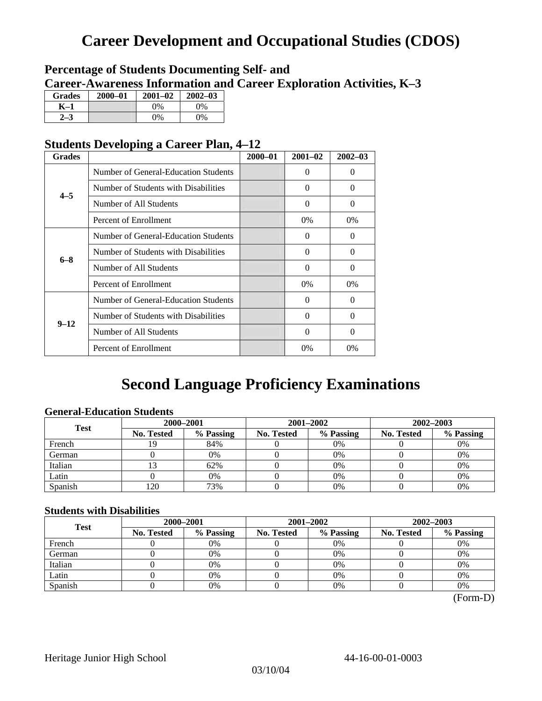## **Career Development and Occupational Studies (CDOS)**

## **Percentage of Students Documenting Self- and Career-Awareness Information and Career Exploration Activities, K–3**

| <b>Grades</b> | 2000-01 | $2001 - 02$ | $2002 - 03$ |
|---------------|---------|-------------|-------------|
| K–1           |         | $0\%$       | $0\%$       |
|               |         | $0\%$       | $0\%$       |

## **Students Developing a Career Plan, 4–12**

| <b>Grades</b> |                                      | $2000 - 01$ | $2001 - 02$ | $2002 - 03$ |
|---------------|--------------------------------------|-------------|-------------|-------------|
|               | Number of General-Education Students |             | 0           | $\Omega$    |
| $4 - 5$       | Number of Students with Disabilities |             | 0           | $\Omega$    |
|               | Number of All Students               |             | 0           | $\Omega$    |
|               | Percent of Enrollment                |             | 0%          | $0\%$       |
|               | Number of General-Education Students |             | 0           | 0           |
| $6 - 8$       | Number of Students with Disabilities |             | $\Omega$    | $\Omega$    |
|               | Number of All Students               |             | $\theta$    | $\Omega$    |
|               | Percent of Enrollment                |             | $0\%$       | $0\%$       |
|               | Number of General-Education Students |             | 0           | $\Omega$    |
| $9 - 12$      | Number of Students with Disabilities |             | 0           | $\Omega$    |
|               | Number of All Students               |             | $\Omega$    | $\Omega$    |
|               | Percent of Enrollment                |             | $0\%$       | 0%          |

## **Second Language Proficiency Examinations**

## **General-Education Students**

| <b>Test</b> | 2000-2001         |           |            | 2001-2002 | 2002-2003         |           |  |
|-------------|-------------------|-----------|------------|-----------|-------------------|-----------|--|
|             | <b>No. Tested</b> | % Passing | No. Tested | % Passing | <b>No. Tested</b> | % Passing |  |
| French      |                   | 84%       |            | $0\%$     |                   | 0%        |  |
| German      |                   | 0%        |            | 0%        |                   | 0%        |  |
| Italian     |                   | 62%       |            | 0%        |                   | 0%        |  |
| Latin       |                   | 0%        |            | 0%        |                   | 0%        |  |
| Spanish     | 120               | 73%       |            | 0%        |                   | 0%        |  |

## **Students with Disabilities**

| <b>Test</b> | 2000-2001         |           |            |                                                                           | 2002-2003 |    |  |
|-------------|-------------------|-----------|------------|---------------------------------------------------------------------------|-----------|----|--|
|             | <b>No. Tested</b> | % Passing | No. Tested | 2001-2002<br>% Passing<br><b>No. Tested</b><br>$0\%$<br>0%<br>0%<br>$0\%$ | % Passing |    |  |
| French      |                   | 0%        |            |                                                                           |           | 0% |  |
| German      |                   | 0%        |            |                                                                           |           | 0% |  |
| Italian     |                   | 0%        |            |                                                                           |           | 0% |  |
| Latin       |                   | 0%        |            |                                                                           |           | 0% |  |
| Spanish     |                   | 0%        |            | 0%                                                                        |           | 0% |  |

 <sup>(</sup>Form-D)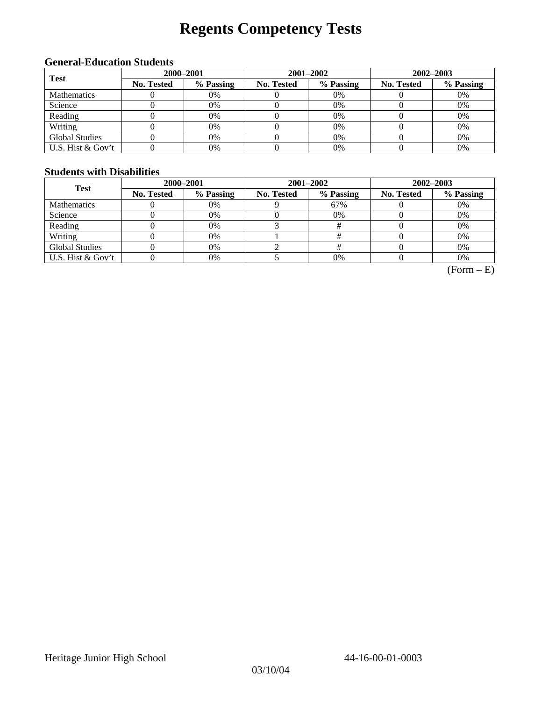# **Regents Competency Tests**

## **General-Education Students**

| <b>Test</b>           | 2000-2001  |           |            |                                                                                 | $2002 - 2003$ |    |  |
|-----------------------|------------|-----------|------------|---------------------------------------------------------------------------------|---------------|----|--|
|                       | No. Tested | % Passing | No. Tested | 2001-2002<br>% Passing<br><b>No. Tested</b><br>$0\%$<br>0%<br>$0\%$<br>0%<br>0% | % Passing     |    |  |
| <b>Mathematics</b>    |            | 0%        |            |                                                                                 |               | 0% |  |
| Science               |            | 0%        |            |                                                                                 |               | 0% |  |
| Reading               |            | 0%        |            |                                                                                 |               | 0% |  |
| Writing               |            | 0%        |            |                                                                                 |               | 0% |  |
| <b>Global Studies</b> |            | 0%        |            |                                                                                 |               | 0% |  |
| U.S. Hist & Gov't     |            | 0%        |            | 0%                                                                              |               | 0% |  |

### **Students with Disabilities**

| <b>Test</b>           | 2000-2001         |           |            | 2001-2002 | 2002-2003         |           |  |
|-----------------------|-------------------|-----------|------------|-----------|-------------------|-----------|--|
|                       | <b>No. Tested</b> | % Passing | No. Tested | % Passing | <b>No. Tested</b> | % Passing |  |
| <b>Mathematics</b>    |                   | 0%        |            | 67%       |                   | 0%        |  |
| Science               |                   | 0%        |            | 0%        |                   | 0%        |  |
| Reading               |                   | 0%        |            |           |                   | 0%        |  |
| Writing               |                   | 0%        |            |           |                   | 0%        |  |
| <b>Global Studies</b> |                   | 0%        |            |           |                   | 0%        |  |
| U.S. Hist & Gov't     |                   | 0%        |            | 0%        |                   | 0%        |  |

 $(Form - E)$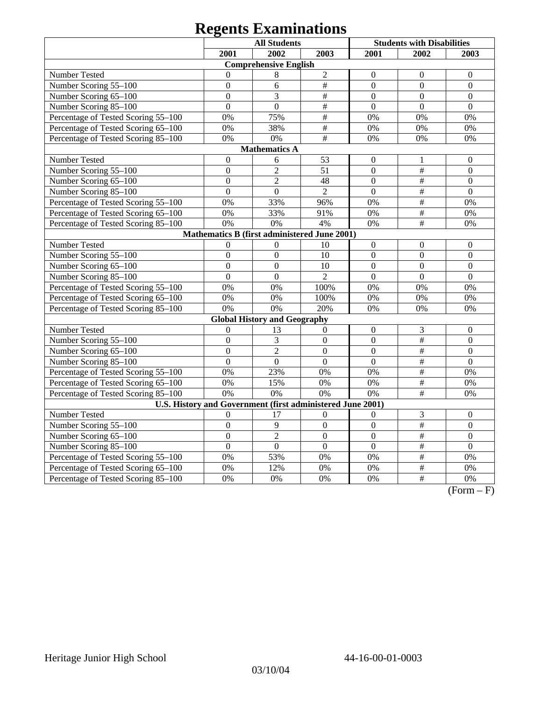|                                                                                           |                | <b>All Students</b>                 |                 |                  | <b>Students with Disabilities</b> |                  |  |
|-------------------------------------------------------------------------------------------|----------------|-------------------------------------|-----------------|------------------|-----------------------------------|------------------|--|
|                                                                                           | 2001           | 2002                                | 2003            | 2001             | 2002                              | 2003             |  |
|                                                                                           |                | <b>Comprehensive English</b>        |                 |                  |                                   |                  |  |
| <b>Number Tested</b>                                                                      | $\overline{0}$ | 8                                   | $\overline{c}$  | $\boldsymbol{0}$ | $\mathbf{0}$                      | $\overline{0}$   |  |
| Number Scoring 55-100                                                                     | $\overline{0}$ | 6                                   | $\#$            | $\boldsymbol{0}$ | $\overline{0}$                    | $\overline{0}$   |  |
| Number Scoring 65-100                                                                     | $\overline{0}$ | 3                                   | $\#$            | $\overline{0}$   | $\mathbf{0}$                      | $\overline{0}$   |  |
| Number Scoring 85-100                                                                     | $\overline{0}$ | $\overline{0}$                      | $\frac{1}{2}$   | $\overline{0}$   | $\overline{0}$                    | $\overline{0}$   |  |
| Percentage of Tested Scoring 55-100                                                       | 0%             | 75%                                 | $\overline{\#}$ | 0%               | 0%                                | 0%               |  |
| Percentage of Tested Scoring 65-100                                                       | 0%             | 38%                                 | $\#$            | 0%               | 0%                                | 0%               |  |
| Percentage of Tested Scoring 85-100                                                       | 0%             | 0%                                  | $\overline{\#}$ | 0%               | 0%                                | 0%               |  |
|                                                                                           |                | <b>Mathematics A</b>                |                 |                  |                                   |                  |  |
| Number Tested<br>$\boldsymbol{0}$<br>53<br>6<br>$\boldsymbol{0}$<br>$\boldsymbol{0}$<br>1 |                |                                     |                 |                  |                                   |                  |  |
| Number Scoring 55-100                                                                     | $\mathbf{0}$   | $\overline{2}$                      | 51              | $\mathbf{0}$     | $\overline{\overline{H}}$         | $\mathbf{0}$     |  |
| Number Scoring 65-100                                                                     | $\mathbf{0}$   | $\overline{2}$                      | 48              | $\mathbf{0}$     | $\#$                              | $\theta$         |  |
| Number Scoring 85-100                                                                     | $\overline{0}$ | $\boldsymbol{0}$                    | $\overline{2}$  | $\boldsymbol{0}$ | $\overline{\overline{H}}$         | $\boldsymbol{0}$ |  |
| Percentage of Tested Scoring 55-100                                                       | 0%             | 33%                                 | 96%             | 0%               | #                                 | 0%               |  |
| Percentage of Tested Scoring 65-100                                                       | 0%             | 33%                                 | 91%             | 0%               | $\overline{\overline{H}}$         | 0%               |  |
| Percentage of Tested Scoring 85-100                                                       | 0%             | 0%                                  | 4%              | 0%               | $\#$                              | 0%               |  |
| Mathematics B (first administered June 2001)                                              |                |                                     |                 |                  |                                   |                  |  |
| Number Tested                                                                             | $\Omega$       | $\overline{0}$                      | 10              | $\boldsymbol{0}$ | $\boldsymbol{0}$                  | $\overline{0}$   |  |
| Number Scoring 55-100                                                                     | $\overline{0}$ | $\overline{0}$                      | 10              | $\mathbf{0}$     | $\overline{0}$                    | $\overline{0}$   |  |
| Number Scoring 65-100                                                                     | $\overline{0}$ | $\overline{0}$                      | 10              | $\overline{0}$   | $\overline{0}$                    | $\overline{0}$   |  |
| Number Scoring 85-100                                                                     | $\overline{0}$ | $\overline{0}$                      | $\overline{2}$  | $\overline{0}$   | $\overline{0}$                    | $\theta$         |  |
| Percentage of Tested Scoring 55-100                                                       | 0%             | 0%                                  | 100%            | 0%               | 0%                                | 0%               |  |
| Percentage of Tested Scoring 65-100                                                       | 0%             | 0%                                  | 100%            | 0%               | 0%                                | 0%               |  |
| Percentage of Tested Scoring 85-100                                                       | 0%             | 0%                                  | 20%             | 0%               | 0%                                | 0%               |  |
|                                                                                           |                | <b>Global History and Geography</b> |                 |                  |                                   |                  |  |
| Number Tested                                                                             | $\theta$       | 13                                  | 0               | $\boldsymbol{0}$ | $\mathfrak{Z}$                    | $\boldsymbol{0}$ |  |
| Number Scoring 55-100                                                                     | $\overline{0}$ | 3                                   | $\overline{0}$  | $\overline{0}$   | $\#$                              | $\overline{0}$   |  |
| Number Scoring 65-100                                                                     | $\overline{0}$ | $\overline{2}$                      | $\overline{0}$  | $\mathbf{0}$     | $\overline{\overline{H}}$         | $\overline{0}$   |  |
| Number Scoring 85-100                                                                     | $\overline{0}$ | $\overline{0}$                      | $\overline{0}$  | $\mathbf{0}$     | #                                 | $\overline{0}$   |  |
| Percentage of Tested Scoring 55-100                                                       | 0%             | 23%                                 | 0%              | 0%               | $\overline{\#}$                   | 0%               |  |
| Percentage of Tested Scoring 65-100                                                       | 0%             | 15%                                 | 0%              | 0%               | $\#$                              | 0%               |  |
| Percentage of Tested Scoring 85-100                                                       | 0%             | $\overline{0\%}$                    | 0%              | 0%               | $\overline{\#}$                   | 0%               |  |
| U.S. History and Government (first administered June 2001)                                |                |                                     |                 |                  |                                   |                  |  |
| Number Tested                                                                             | $\theta$       | 17                                  | $\theta$        | $\theta$         | 3                                 | $\overline{0}$   |  |
| Number Scoring 55-100                                                                     | $\overline{0}$ | 9                                   | $\overline{0}$  | $\overline{0}$   | #                                 | $\overline{0}$   |  |
| Number Scoring 65-100                                                                     | $\overline{0}$ | $\overline{2}$                      | $\overline{0}$  | $\overline{0}$   | #                                 | $\overline{0}$   |  |
| Number Scoring 85-100                                                                     | $\overline{0}$ | $\overline{0}$                      | $\overline{0}$  | $\overline{0}$   | $\overline{\#}$                   | $\overline{0}$   |  |
| Percentage of Tested Scoring 55-100                                                       | 0%             | 53%                                 | 0%              | 0%               | $\#$                              | 0%               |  |
| Percentage of Tested Scoring 65-100                                                       | 0%             | 12%                                 | 0%              | 0%               | $\overline{\#}$                   | 0%               |  |
| Percentage of Tested Scoring 85-100                                                       | 0%             | 0%                                  | 0%              | 0%               | #                                 | 0%               |  |

 $(Form - F)$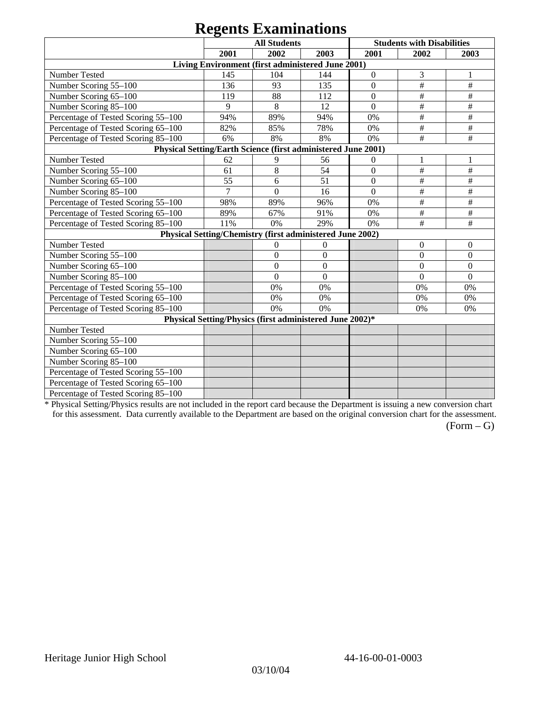|                                                               |      | <b>All Students</b>                                       |                  | <b>Students with Disabilities</b> |                  |                  |  |
|---------------------------------------------------------------|------|-----------------------------------------------------------|------------------|-----------------------------------|------------------|------------------|--|
|                                                               | 2001 | 2002                                                      | 2003             | 2001                              | 2002             | 2003             |  |
|                                                               |      | Living Environment (first administered June 2001)         |                  |                                   |                  |                  |  |
| Number Tested                                                 | 145  | 104                                                       | 144              | $\boldsymbol{0}$                  | 3                | 1                |  |
| Number Scoring 55-100                                         | 136  | 93                                                        | 135              | $\overline{0}$                    | $\#$             | $\#$             |  |
| Number Scoring 65-100                                         | 119  | 88                                                        | 112              | $\overline{0}$                    | $\#$             | #                |  |
| Number Scoring 85-100                                         | 9    | 8                                                         | 12               | $\overline{0}$                    | $\#$             | $\#$             |  |
| Percentage of Tested Scoring 55-100                           | 94%  | 89%                                                       | 94%              | 0%                                | $\#$             | $\#$             |  |
| Percentage of Tested Scoring 65-100                           | 82%  | 85%                                                       | 78%              | 0%                                | $\#$             | $\#$             |  |
| Percentage of Tested Scoring 85-100                           | 6%   | 8%                                                        | 8%               | 0%                                | #                | #                |  |
| Physical Setting/Earth Science (first administered June 2001) |      |                                                           |                  |                                   |                  |                  |  |
| Number Tested                                                 | 62   | 9                                                         | 56               | $\theta$                          | $\mathbf{1}$     |                  |  |
| Number Scoring 55-100                                         | 61   | $\,8\,$                                                   | $\overline{54}$  | $\boldsymbol{0}$                  | $\#$             | $\#$             |  |
| Number Scoring 65-100                                         | 55   | 6                                                         | 51               | $\boldsymbol{0}$                  | $\#$             | $\#$             |  |
| Number Scoring 85-100                                         | 7    | $\theta$                                                  | 16               | $\theta$                          | $\#$             | $\#$             |  |
| Percentage of Tested Scoring 55-100                           | 98%  | 89%                                                       | 96%              | 0%                                | $\#$             | $\#$             |  |
| Percentage of Tested Scoring 65-100                           | 89%  | 67%                                                       | 91%              | 0%                                | #                | #                |  |
| Percentage of Tested Scoring 85-100                           | 11%  | 0%                                                        | 29%              | 0%                                | $\#$             | $\#$             |  |
|                                                               |      | Physical Setting/Chemistry (first administered June 2002) |                  |                                   |                  |                  |  |
| Number Tested                                                 |      | $\boldsymbol{0}$                                          | $\boldsymbol{0}$ |                                   | $\boldsymbol{0}$ | $\theta$         |  |
| Number Scoring 55-100                                         |      | $\mathbf{0}$                                              | $\boldsymbol{0}$ |                                   | $\mathbf{0}$     | $\boldsymbol{0}$ |  |
| Number Scoring 65-100                                         |      | $\Omega$                                                  | $\overline{0}$   |                                   | $\mathbf{0}$     | $\mathbf{0}$     |  |
| Number Scoring 85-100                                         |      | $\overline{0}$                                            | $\overline{0}$   |                                   | $\Omega$         | $\overline{0}$   |  |
| Percentage of Tested Scoring 55-100                           |      | 0%                                                        | 0%               |                                   | 0%               | 0%               |  |
| Percentage of Tested Scoring 65-100                           |      | 0%                                                        | 0%               |                                   | $0\%$            | 0%               |  |
| Percentage of Tested Scoring 85-100                           |      | 0%                                                        | 0%               |                                   | 0%               | 0%               |  |
|                                                               |      | Physical Setting/Physics (first administered June 2002)*  |                  |                                   |                  |                  |  |
| Number Tested                                                 |      |                                                           |                  |                                   |                  |                  |  |
| Number Scoring 55-100                                         |      |                                                           |                  |                                   |                  |                  |  |
| Number Scoring 65-100                                         |      |                                                           |                  |                                   |                  |                  |  |
| Number Scoring 85-100                                         |      |                                                           |                  |                                   |                  |                  |  |
| Percentage of Tested Scoring 55-100                           |      |                                                           |                  |                                   |                  |                  |  |
| Percentage of Tested Scoring 65-100                           |      |                                                           |                  |                                   |                  |                  |  |
| Percentage of Tested Scoring 85-100                           |      |                                                           |                  |                                   |                  |                  |  |

\* Physical Setting/Physics results are not included in the report card because the Department is issuing a new conversion chart for this assessment. Data currently available to the Department are based on the original conversion chart for the assessment.

 $(Form - G)$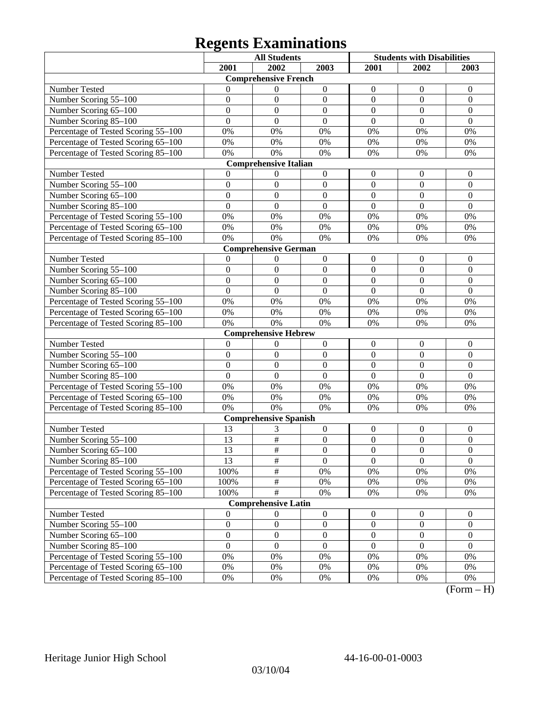|                                     |                  | <b>All Students</b>          |                  | <b>Students with Disabilities</b> |                  |                       |
|-------------------------------------|------------------|------------------------------|------------------|-----------------------------------|------------------|-----------------------|
|                                     | 2001             | 2002                         | 2003             | 2001                              | 2002             | 2003                  |
|                                     |                  | <b>Comprehensive French</b>  |                  |                                   |                  |                       |
| Number Tested                       | 0                | 0                            | $\boldsymbol{0}$ | $\mathbf{0}$                      | $\boldsymbol{0}$ | $\theta$              |
| Number Scoring 55-100               | $\overline{0}$   | $\theta$                     | $\mathbf{0}$     | $\overline{0}$                    | $\boldsymbol{0}$ | $\boldsymbol{0}$      |
| Number Scoring 65-100               | $\overline{0}$   | $\overline{0}$               | $\overline{0}$   | $\overline{0}$                    | $\mathbf{0}$     | $\overline{0}$        |
| Number Scoring 85-100               | $\overline{0}$   | $\overline{0}$               | $\overline{0}$   | $\overline{0}$                    | $\mathbf{0}$     | $\overline{0}$        |
| Percentage of Tested Scoring 55-100 | 0%               | 0%                           | 0%               | 0%                                | 0%               | 0%                    |
| Percentage of Tested Scoring 65-100 | $0\%$            | 0%                           | 0%               | 0%                                | 0%               | 0%                    |
| Percentage of Tested Scoring 85-100 | 0%               | 0%                           | 0%               | 0%                                | 0%               | 0%                    |
|                                     |                  | <b>Comprehensive Italian</b> |                  |                                   |                  |                       |
| Number Tested                       | $\Omega$         | $\boldsymbol{0}$             | $\boldsymbol{0}$ | $\boldsymbol{0}$                  | $\boldsymbol{0}$ | $\boldsymbol{0}$      |
| Number Scoring 55-100               | $\overline{0}$   | $\mathbf{0}$                 | $\mathbf{0}$     | $\overline{0}$                    | $\boldsymbol{0}$ | $\boldsymbol{0}$      |
| Number Scoring 65-100               | $\overline{0}$   | $\mathbf{0}$                 | $\overline{0}$   | $\overline{0}$                    | $\mathbf{0}$     | $\boldsymbol{0}$      |
| Number Scoring 85-100               | $\overline{0}$   | $\mathbf{0}$                 | $\overline{0}$   | $\overline{0}$                    | $\mathbf{0}$     | $\mathbf{0}$          |
| Percentage of Tested Scoring 55-100 | 0%               | 0%                           | 0%               | 0%                                | 0%               | 0%                    |
| Percentage of Tested Scoring 65-100 | $0\%$            | 0%                           | 0%               | 0%                                | 0%               | 0%                    |
| Percentage of Tested Scoring 85-100 | 0%               | 0%                           | 0%               | 0%                                | 0%               | 0%                    |
|                                     |                  | <b>Comprehensive German</b>  |                  |                                   |                  |                       |
| Number Tested                       | $\mathbf{0}$     | 0                            | $\boldsymbol{0}$ | $\boldsymbol{0}$                  | $\boldsymbol{0}$ | $\boldsymbol{0}$      |
| Number Scoring 55-100               | $\overline{0}$   | $\mathbf{0}$                 | $\mathbf{0}$     | $\boldsymbol{0}$                  | $\boldsymbol{0}$ | $\boldsymbol{0}$      |
| Number Scoring 65-100               | $\overline{0}$   | $\overline{0}$               | $\overline{0}$   | $\overline{0}$                    | $\mathbf{0}$     | $\overline{0}$        |
| Number Scoring 85-100               | $\overline{0}$   | $\overline{0}$               | $\overline{0}$   | $\overline{0}$                    | $\mathbf{0}$     | $\overline{0}$        |
| Percentage of Tested Scoring 55-100 | 0%               | 0%                           | 0%               | 0%                                | 0%               | 0%                    |
| Percentage of Tested Scoring 65-100 | $0\%$            | 0%                           | 0%               | 0%                                | 0%               | 0%                    |
| Percentage of Tested Scoring 85-100 | 0%               | 0%                           | 0%               | 0%                                | 0%               | 0%                    |
|                                     |                  | <b>Comprehensive Hebrew</b>  |                  |                                   |                  |                       |
| Number Tested                       | $\mathbf{0}$     | $\theta$                     | $\boldsymbol{0}$ | $\boldsymbol{0}$                  | $\boldsymbol{0}$ | $\boldsymbol{0}$      |
| Number Scoring 55-100               | $\overline{0}$   | $\mathbf{0}$                 | $\mathbf{0}$     | $\overline{0}$                    | $\mathbf{0}$     | $\mathbf{0}$          |
| Number Scoring 65-100               | $\overline{0}$   | $\mathbf{0}$                 | $\overline{0}$   | $\overline{0}$                    | $\mathbf{0}$     | $\mathbf{0}$          |
| Number Scoring 85-100               | $\overline{0}$   | $\mathbf{0}$                 | $\overline{0}$   | $\overline{0}$                    | $\mathbf{0}$     | $\mathbf{0}$          |
| Percentage of Tested Scoring 55-100 | 0%               | 0%                           | 0%               | 0%                                | 0%               | 0%                    |
| Percentage of Tested Scoring 65-100 | $0\%$            | 0%                           | 0%               | 0%                                | 0%               | 0%                    |
| Percentage of Tested Scoring 85-100 | 0%               | 0%                           | 0%               | 0%                                | 0%               | 0%                    |
|                                     |                  | <b>Comprehensive Spanish</b> |                  |                                   |                  |                       |
| Number Tested                       | 13               | 3                            | $\boldsymbol{0}$ | $\boldsymbol{0}$                  | $\boldsymbol{0}$ | $\boldsymbol{0}$      |
| Number Scoring 55-100               | 13               | $\overline{\ddot{\pi}}$      | $\mathbf{0}$     | $\overline{0}$                    | $\mathbf{0}$     | $\overline{0}$        |
| Number Scoring 65–100               | 13               | $\overline{\#}$              | $\boldsymbol{0}$ | $\theta$                          | $\theta$         | $\theta$              |
| Number Scoring 85-100               | 13               | $\frac{1}{2}$                | $\overline{0}$   | $\overline{0}$                    | $\overline{0}$   | $\overline{0}$        |
| Percentage of Tested Scoring 55-100 | 100%             | $\frac{1}{2}$                | 0%               | 0%                                | $0\%$            | 0%                    |
| Percentage of Tested Scoring 65-100 | 100%             | $\frac{1}{2}$                | $0\%$            | $0\%$                             | $0\%$            | 0%                    |
| Percentage of Tested Scoring 85-100 | 100%             | $\overline{\ddot{\pi}}$      | 0%               | $0\%$                             | $0\%$            | 0%                    |
|                                     |                  | <b>Comprehensive Latin</b>   |                  |                                   |                  |                       |
| Number Tested                       | $\mathbf{0}$     | $\theta$                     | $\boldsymbol{0}$ | $\mathbf{0}$                      | $\mathbf{0}$     | $\boldsymbol{0}$      |
| Number Scoring 55-100               | $\boldsymbol{0}$ | $\boldsymbol{0}$             | $\boldsymbol{0}$ | $\boldsymbol{0}$                  | $\boldsymbol{0}$ | $\boldsymbol{0}$      |
| Number Scoring 65-100               | $\boldsymbol{0}$ | $\boldsymbol{0}$             | $\boldsymbol{0}$ | $\boldsymbol{0}$                  | $\boldsymbol{0}$ | $\overline{0}$        |
| Number Scoring 85-100               | $\overline{0}$   | $\boldsymbol{0}$             | $\mathbf{0}$     | $\boldsymbol{0}$                  | $\boldsymbol{0}$ | $\overline{0}$        |
| Percentage of Tested Scoring 55-100 | $0\%$            | 0%                           | 0%               | 0%                                | $0\%$            | 0%                    |
| Percentage of Tested Scoring 65-100 | $0\%$            | 0%                           | $0\%$            | 0%                                | 0%               | 0%                    |
| Percentage of Tested Scoring 85-100 | $0\%$            | $0\%$                        | $0\%$            | $0\%$                             | 0%               | $0\%$<br>$\mathbf{T}$ |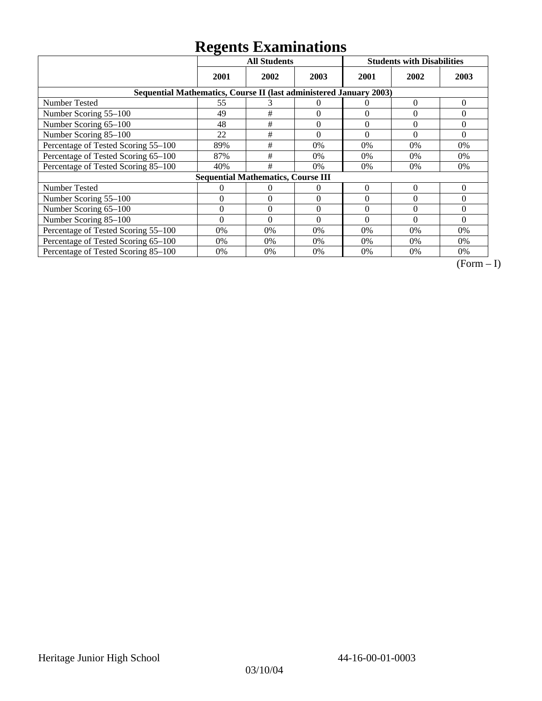|                                                                    | <b>All Students</b> |                                           |              |          | <b>Students with Disabilities</b> |          |  |  |
|--------------------------------------------------------------------|---------------------|-------------------------------------------|--------------|----------|-----------------------------------|----------|--|--|
|                                                                    | 2001                | 2002                                      | 2003         | 2001     | 2002                              | 2003     |  |  |
| Sequential Mathematics, Course II (last administered January 2003) |                     |                                           |              |          |                                   |          |  |  |
| Number Tested                                                      | 55                  | 3                                         | $\Omega$     | $\theta$ | 0                                 | $\theta$ |  |  |
| Number Scoring 55-100                                              | 49                  | #                                         | $\theta$     | $\theta$ | $\theta$                          | 0        |  |  |
| Number Scoring 65-100                                              | 48                  | #                                         | $\mathbf{0}$ | $\theta$ | $\theta$                          | $\theta$ |  |  |
| Number Scoring 85-100                                              | 22                  | #                                         | $\Omega$     | $\theta$ | $\theta$                          | $\Omega$ |  |  |
| Percentage of Tested Scoring 55-100                                | 89%                 | #                                         | 0%           | 0%       | $0\%$                             | $0\%$    |  |  |
| Percentage of Tested Scoring 65-100                                | 87%                 | #                                         | 0%           | 0%       | $0\%$                             | $0\%$    |  |  |
| Percentage of Tested Scoring 85-100                                | 40%                 | #                                         | 0%           | 0%       | $0\%$                             | $0\%$    |  |  |
|                                                                    |                     | <b>Sequential Mathematics, Course III</b> |              |          |                                   |          |  |  |
| <b>Number Tested</b>                                               | 0                   | 0                                         | $\Omega$     | $\theta$ | $\Omega$                          | $\Omega$ |  |  |
| Number Scoring 55–100                                              | $\Omega$            | $\Omega$                                  | $\Omega$     | $\Omega$ | $\Omega$                          | $\Omega$ |  |  |
| Number Scoring 65-100                                              | $\theta$            | $\Omega$                                  | $\Omega$     | $\Omega$ | $\Omega$                          | $\Omega$ |  |  |
| Number Scoring 85-100                                              | $\Omega$            | $\Omega$                                  | $\Omega$     | $\Omega$ | $\Omega$                          | $\Omega$ |  |  |
| Percentage of Tested Scoring 55-100                                | 0%                  | 0%                                        | 0%           | 0%       | $0\%$                             | $0\%$    |  |  |
| Percentage of Tested Scoring 65-100                                | 0%                  | 0%                                        | 0%           | 0%       | $0\%$                             | $0\%$    |  |  |
| Percentage of Tested Scoring 85-100                                | 0%                  | 0%                                        | 0%           | 0%       | $0\%$                             | 0%       |  |  |

 $\overline{(Form-I)}$